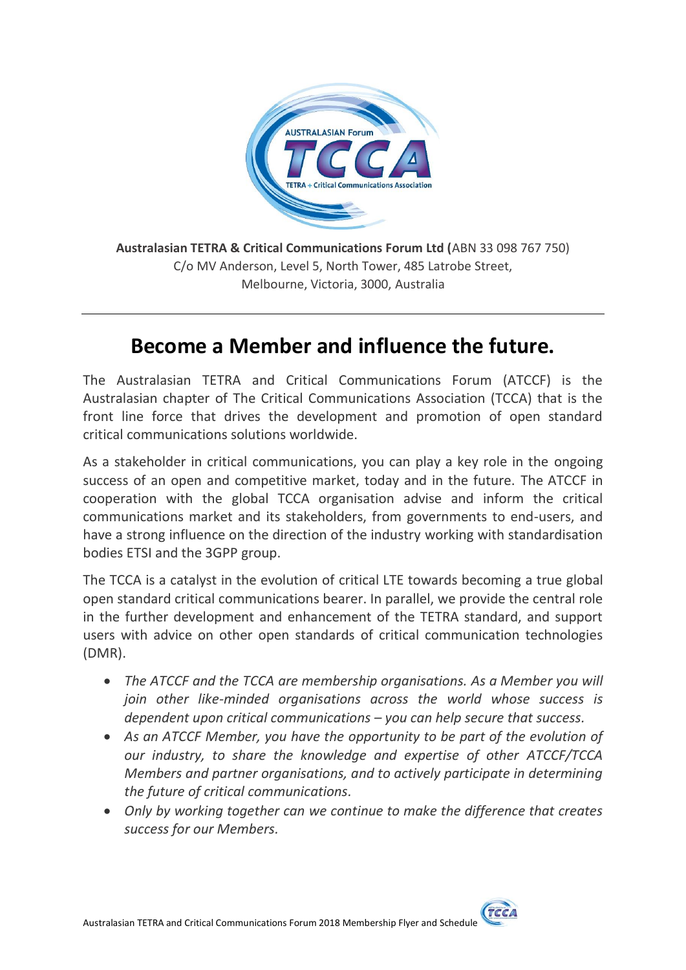

**Australasian TETRA & Critical Communications Forum Ltd (**ABN 33 098 767 750) C/o MV Anderson, Level 5, North Tower, 485 Latrobe Street, Melbourne, Victoria, 3000, Australia

# **Become a Member and influence the future.**

The Australasian TETRA and Critical Communications Forum (ATCCF) is the Australasian chapter of The Critical Communications Association (TCCA) that is the front line force that drives the development and promotion of open standard critical communications solutions worldwide.

As a stakeholder in critical communications, you can play a key role in the ongoing success of an open and competitive market, today and in the future. The ATCCF in cooperation with the global TCCA organisation advise and inform the critical communications market and its stakeholders, from governments to end-users, and have a strong influence on the direction of the industry working with standardisation bodies ETSI and the 3GPP group.

The TCCA is a catalyst in the evolution of critical LTE towards becoming a true global open standard critical communications bearer. In parallel, we provide the central role in the further development and enhancement of the TETRA standard, and support users with advice on other open standards of critical communication technologies (DMR).

- *The ATCCF and the TCCA are membership organisations. As a Member you will join other like-minded organisations across the world whose success is dependent upon critical communications – you can help secure that success.*
- *As an ATCCF Member, you have the opportunity to be part of the evolution of our industry, to share the knowledge and expertise of other ATCCF/TCCA Members and partner organisations, and to actively participate in determining the future of critical communications.*
- *Only by working together can we continue to make the difference that creates success for our Members.*

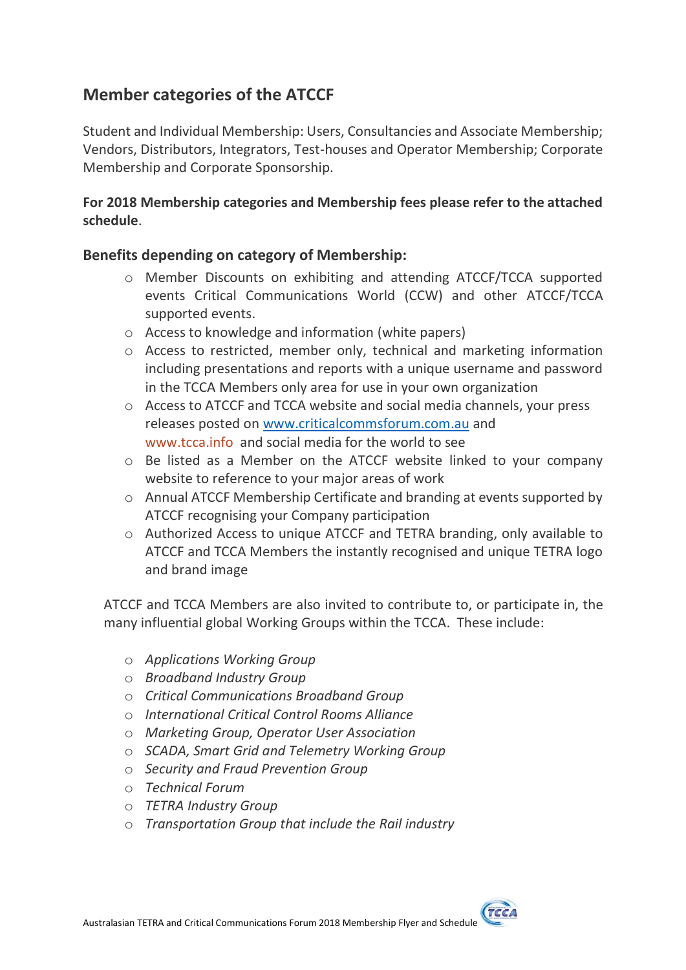## **Member categories of the ATCCF**

Student and Individual Membership: Users, Consultancies and Associate Membership; Vendors, Distributors, Integrators, Test-houses and Operator Membership; Corporate Membership and Corporate Sponsorship.

#### **For 2018 Membership categories and Membership fees please refer to the attached schedule**.

#### **Benefits depending on category of Membership:**

- o Member Discounts on exhibiting and attending ATCCF/TCCA supported events Critical Communications World (CCW) and other ATCCF/TCCA supported events.
- o Access to knowledge and information (white papers)
- o Access to restricted, member only, technical and marketing information including presentations and reports with a unique username and password in the TCCA Members only area for use in your own organization
- o Access to ATCCF and TCCA website and social media channels, your press releases posted on [www.criticalcommsforum.com.au](http://www.criticalcommsforum.com.au/) and [www.tcca.info](http://www.tcca.info/) and social media for the world to see
- o Be listed as a Member on the ATCCF website linked to your company website to reference to your major areas of work
- o Annual ATCCF Membership Certificate and branding at events supported by ATCCF recognising your Company participation
- o Authorized Access to unique ATCCF and TETRA branding, only available to ATCCF and TCCA Members the instantly recognised and unique TETRA logo and brand image

ATCCF and TCCA Members are also invited to contribute to, or participate in, the many influential global Working Groups within the TCCA. These include:

- o *Applications Working Group*
- o *Broadband Industry Group*
- o *Critical Communications Broadband Group*
- o *International Critical Control Rooms Alliance*
- o *Marketing Group, Operator User Association*
- o *SCADA, Smart Grid and Telemetry Working Group*
- o *Security and Fraud Prevention Group*
- o *Technical Forum*
- o *TETRA Industry Group*
- o *Transportation Group that include the Rail industry*

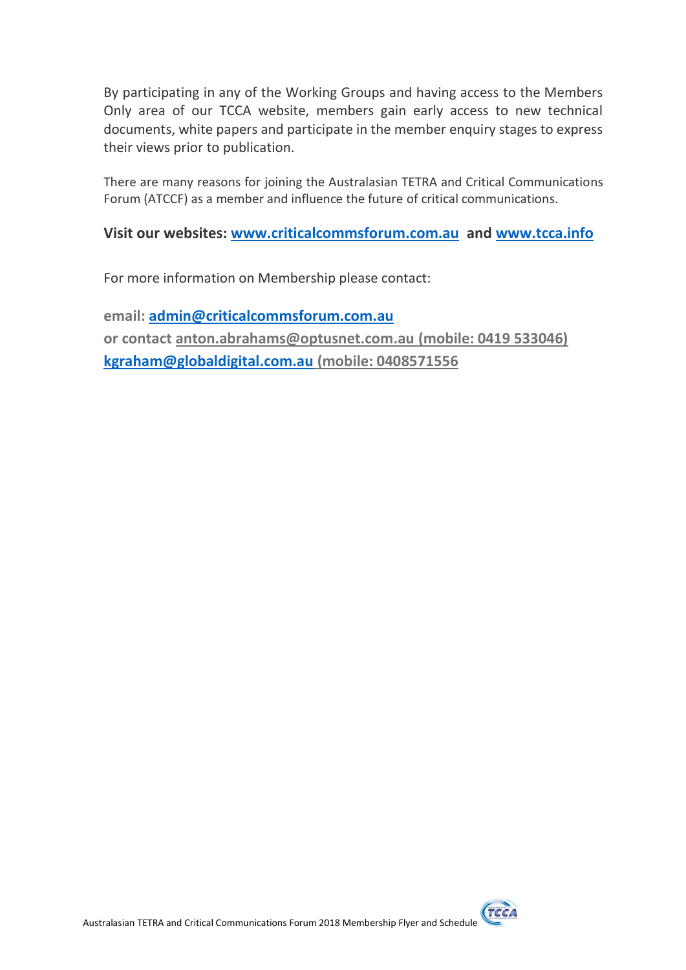By participating in any of the Working Groups and having access to the Members Only area of our TCCA website, members gain early access to new technical documents, white papers and participate in the member enquiry stages to express their views prior to publication.

There are many reasons for joining the Australasian TETRA and Critical Communications Forum (ATCCF) as a member and influence the future of critical communications.

#### **Visit our websites: [www.criticalcommsforum.com.au](http://www.criticalcommsforum.com.au/) and [www.tcca.info](http://www.tcca.info/)**

For more information on Membership please contact:

**email: [admin@criticalcommsforum.com.au](mailto:admin@criticalcommsforum.com.au) or contact [anton.abrahams@optusnet.com.au](mailto:anton.abrahams@optusnet.com.au) (mobile: 0419 533046) [kgraham@globaldigital.com.au](mailto:kgraham@globaldigital.com.au) (mobile: 0408571556**

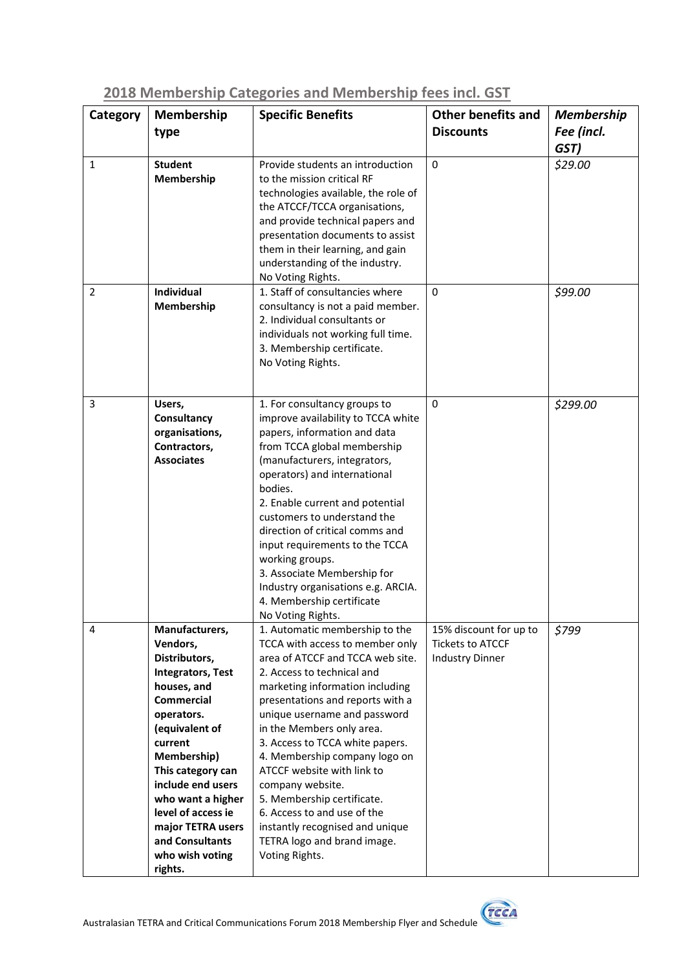| Category       | Membership                              | <b>Specific Benefits</b>                                        | <b>Other benefits and</b> | <b>Membership</b> |
|----------------|-----------------------------------------|-----------------------------------------------------------------|---------------------------|-------------------|
|                | type                                    |                                                                 | <b>Discounts</b>          | Fee (incl.        |
|                |                                         |                                                                 |                           | GST)              |
| $\mathbf{1}$   | <b>Student</b>                          | Provide students an introduction                                | $\Omega$                  | \$29.00           |
|                | Membership                              | to the mission critical RF                                      |                           |                   |
|                |                                         | technologies available, the role of                             |                           |                   |
|                |                                         | the ATCCF/TCCA organisations,                                   |                           |                   |
|                |                                         | and provide technical papers and                                |                           |                   |
|                |                                         | presentation documents to assist                                |                           |                   |
|                |                                         | them in their learning, and gain                                |                           |                   |
|                |                                         | understanding of the industry.                                  |                           |                   |
|                |                                         | No Voting Rights.                                               |                           |                   |
| $\overline{2}$ | Individual                              | 1. Staff of consultancies where                                 | 0                         | \$99.00           |
|                | Membership                              | consultancy is not a paid member.                               |                           |                   |
|                |                                         | 2. Individual consultants or                                    |                           |                   |
|                |                                         | individuals not working full time.                              |                           |                   |
|                |                                         | 3. Membership certificate.<br>No Voting Rights.                 |                           |                   |
|                |                                         |                                                                 |                           |                   |
|                |                                         |                                                                 |                           |                   |
| 3              | Users,                                  | 1. For consultancy groups to                                    | $\Omega$                  | \$299.00          |
|                | Consultancy                             | improve availability to TCCA white                              |                           |                   |
|                | organisations,                          | papers, information and data                                    |                           |                   |
|                | Contractors,                            | from TCCA global membership                                     |                           |                   |
|                | <b>Associates</b>                       | (manufacturers, integrators,                                    |                           |                   |
|                |                                         | operators) and international                                    |                           |                   |
|                |                                         | bodies.                                                         |                           |                   |
|                |                                         | 2. Enable current and potential                                 |                           |                   |
|                |                                         | customers to understand the                                     |                           |                   |
|                |                                         | direction of critical comms and                                 |                           |                   |
|                |                                         | input requirements to the TCCA                                  |                           |                   |
|                |                                         | working groups.                                                 |                           |                   |
|                |                                         | 3. Associate Membership for                                     |                           |                   |
|                |                                         | Industry organisations e.g. ARCIA.<br>4. Membership certificate |                           |                   |
|                |                                         | No Voting Rights.                                               |                           |                   |
| 4              | Manufacturers,                          | 1. Automatic membership to the                                  | 15% discount for up to    | \$799             |
|                | Vendors,                                | TCCA with access to member only                                 | <b>Tickets to ATCCF</b>   |                   |
|                | Distributors,                           | area of ATCCF and TCCA web site.                                | <b>Industry Dinner</b>    |                   |
|                | <b>Integrators, Test</b>                | 2. Access to technical and                                      |                           |                   |
|                | houses, and                             | marketing information including                                 |                           |                   |
|                | <b>Commercial</b>                       | presentations and reports with a                                |                           |                   |
|                | operators.                              | unique username and password                                    |                           |                   |
|                | (equivalent of                          | in the Members only area.                                       |                           |                   |
|                | current                                 | 3. Access to TCCA white papers.                                 |                           |                   |
|                | Membership)                             | 4. Membership company logo on                                   |                           |                   |
|                | This category can                       | ATCCF website with link to                                      |                           |                   |
|                | include end users                       | company website.                                                |                           |                   |
|                | who want a higher<br>level of access ie | 5. Membership certificate.<br>6. Access to and use of the       |                           |                   |
|                | major TETRA users                       | instantly recognised and unique                                 |                           |                   |
|                | and Consultants                         | TETRA logo and brand image.                                     |                           |                   |
|                | who wish voting                         | Voting Rights.                                                  |                           |                   |
|                | rights.                                 |                                                                 |                           |                   |

### **2018 Membership Categories and Membership fees incl. GST**